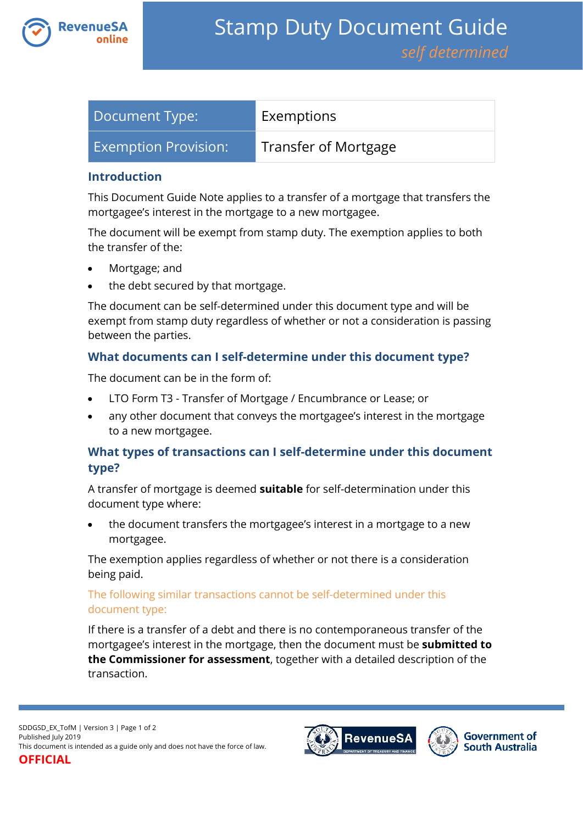

| Document Type:              | Exemptions           |
|-----------------------------|----------------------|
| <b>Exemption Provision:</b> | Transfer of Mortgage |

### **Introduction**

This Document Guide Note applies to a transfer of a mortgage that transfers the mortgagee's interest in the mortgage to a new mortgagee.

The document will be exempt from stamp duty. The exemption applies to both the transfer of the:

- Mortgage; and
- the debt secured by that mortgage.

The document can be self-determined under this document type and will be exempt from stamp duty regardless of whether or not a consideration is passing between the parties.

## **What documents can I self-determine under this document type?**

The document can be in the form of:

- LTO Form T3 Transfer of Mortgage / Encumbrance or Lease; or
- any other document that conveys the mortgagee's interest in the mortgage to a new mortgagee.

# **What types of transactions can I self-determine under this document type?**

A transfer of mortgage is deemed **suitable** for self-determination under this document type where:

 the document transfers the mortgagee's interest in a mortgage to a new mortgagee.

The exemption applies regardless of whether or not there is a consideration being paid.

## The following similar transactions cannot be self-determined under this document type:

If there is a transfer of a debt and there is no contemporaneous transfer of the mortgagee's interest in the mortgage, then the document must be **submitted to the Commissioner for assessment**, together with a detailed description of the transaction.